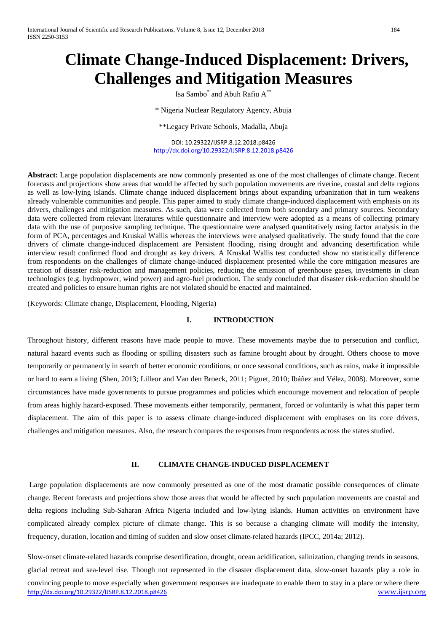# **Climate Change-Induced Displacement: Drivers, Challenges and Mitigation Measures**

Isa Sambo\* and Abuh Rafiu A\*\*

\* Nigeria Nuclear Regulatory Agency, Abuja

\*\*Legacy Private Schools, Madalla, Abuja

DOI: 10.29322/IJSRP.8.12.2018.p8426 <http://dx.doi.org/10.29322/IJSRP.8.12.2018.p8426>

**Abstract:** Large population displacements are now commonly presented as one of the most challenges of climate change. Recent forecasts and projections show areas that would be affected by such population movements are riverine, coastal and delta regions as well as low-lying islands. Climate change induced displacement brings about expanding urbanization that in turn weakens already vulnerable communities and people. This paper aimed to study climate change-induced displacement with emphasis on its drivers, challenges and mitigation measures. As such, data were collected from both secondary and primary sources. Secondary data were collected from relevant literatures while questionnaire and interview were adopted as a means of collecting primary data with the use of purposive sampling technique. The questionnaire were analysed quantitatively using factor analysis in the form of PCA, percentages and Kruskal Wallis whereas the interviews were analysed qualitatively. The study found that the core drivers of climate change-induced displacement are Persistent flooding, rising drought and advancing desertification while interview result confirmed flood and drought as key drivers. A Kruskal Wallis test conducted show no statistically difference from respondents on the challenges of climate change-induced displacement presented while the core mitigation measures are creation of disaster risk-reduction and management policies, reducing the emission of greenhouse gases, investments in clean technologies (e.g. hydropower, wind power) and agro-fuel production. The study concluded that disaster risk-reduction should be created and policies to ensure human rights are not violated should be enacted and maintained.

(Keywords: Climate change, Displacement, Flooding, Nigeria)

#### **I. INTRODUCTION**

Throughout history, different reasons have made people to move. These movements maybe due to persecution and conflict, natural hazard events such as flooding or spilling disasters such as famine brought about by drought. Others choose to move temporarily or permanently in search of better economic conditions, or once seasonal conditions, such as rains, make it impossible or hard to earn a living (Shen, 2013; Lilleor and Van den Broeck, 2011; Piguet, 2010; Ibáñez and Vélez, 2008). Moreover, some circumstances have made governments to pursue programmes and policies which encourage movement and relocation of people from areas highly hazard-exposed. These movements either temporarily, permanent, forced or voluntarily is what this paper term displacement. The aim of this paper is to assess climate change-induced displacement with emphases on its core drivers, challenges and mitigation measures. Also, the research compares the responses from respondents across the states studied.

# **II. CLIMATE CHANGE-INDUCED DISPLACEMENT**

Large population displacements are now commonly presented as one of the most dramatic possible consequences of climate change. Recent forecasts and projections show those areas that would be affected by such population movements are coastal and delta regions including Sub-Saharan Africa Nigeria included and low-lying islands. Human activities on environment have complicated already complex picture of climate change. This is so because a changing climate will modify the intensity, frequency, duration, location and timing of sudden and slow onset climate-related hazards (IPCC, 2014a; 2012).

<http://dx.doi.org/10.29322/IJSRP.8.12.2018.p8426> [www.ijsrp.org](http://ijsrp.org/) Slow-onset climate-related hazards comprise desertification, drought, ocean acidification, salinization, changing trends in seasons, glacial retreat and sea-level rise. Though not represented in the disaster displacement data, slow-onset hazards play a role in convincing people to move especially when government responses are inadequate to enable them to stay in a place or where there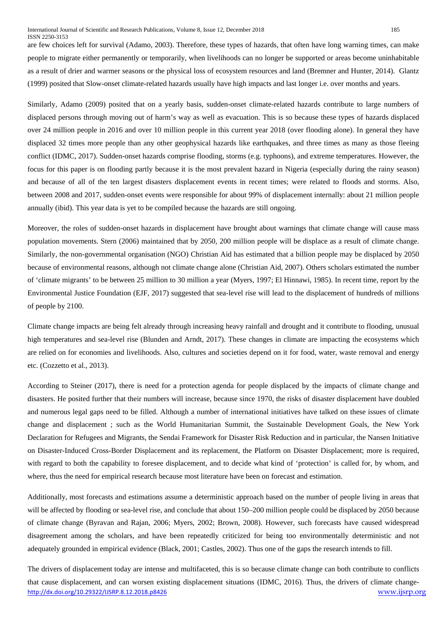#### International Journal of Scientific and Research Publications, Volume 8, Issue 12, December 2018 185 ISSN 2250-3153

are few choices left for survival (Adamo, 2003). Therefore, these types of hazards, that often have long warning times, can make people to migrate either permanently or temporarily, when livelihoods can no longer be supported or areas become uninhabitable as a result of drier and warmer seasons or the physical loss of ecosystem resources and land (Bremner and Hunter, 2014). Glantz (1999) posited that Slow-onset climate-related hazards usually have high impacts and last longer i.e. over months and years.

Similarly, Adamo (2009) posited that on a yearly basis, sudden-onset climate-related hazards contribute to large numbers of displaced persons through moving out of harm's way as well as evacuation. This is so because these types of hazards displaced over 24 million people in 2016 and over 10 million people in this current year 2018 (over flooding alone). In general they have displaced 32 times more people than any other geophysical hazards like earthquakes, and three times as many as those fleeing conflict (IDMC, 2017). Sudden-onset hazards comprise flooding, storms (e.g. typhoons), and extreme temperatures. However, the focus for this paper is on flooding partly because it is the most prevalent hazard in Nigeria (especially during the rainy season) and because of all of the ten largest disasters displacement events in recent times; were related to floods and storms. Also, between 2008 and 2017, sudden-onset events were responsible for about 99% of displacement internally: about 21 million people annually (ibid). This year data is yet to be compiled because the hazards are still ongoing.

Moreover, the roles of sudden-onset hazards in displacement have brought about warnings that climate change will cause mass population movements. Stern (2006) maintained that by 2050, 200 million people will be displace as a result of climate change. Similarly, the non-governmental organisation (NGO) Christian Aid has estimated that a billion people may be displaced by 2050 because of environmental reasons, although not climate change alone (Christian Aid, 2007). Others scholars estimated the number of 'climate migrants' to be between 25 million to 30 million a year (Myers, 1997; El Hinnawi, 1985). In recent time, report by the Environmental Justice Foundation (EJF, 2017) suggested that sea-level rise will lead to the displacement of hundreds of millions of people by 2100.

Climate change impacts are being felt already through increasing heavy rainfall and drought and it contribute to flooding, unusual high temperatures and sea-level rise (Blunden and Arndt, 2017). These changes in climate are impacting the ecosystems which are relied on for economies and livelihoods. Also, cultures and societies depend on it for food, water, waste removal and energy etc. (Cozzetto et al., 2013).

According to Steiner (2017), there is need for a protection agenda for people displaced by the impacts of climate change and disasters. He posited further that their numbers will increase, because since 1970, the risks of disaster displacement have doubled and numerous legal gaps need to be filled. Although a number of international initiatives have talked on these issues of climate change and displacement ; such as the World Humanitarian Summit, the Sustainable Development Goals, the New York Declaration for Refugees and Migrants, the Sendai Framework for Disaster Risk Reduction and in particular, the Nansen Initiative on Disaster-Induced Cross-Border Displacement and its replacement, the Platform on Disaster Displacement; more is required, with regard to both the capability to foresee displacement, and to decide what kind of 'protection' is called for, by whom, and where, thus the need for empirical research because most literature have been on forecast and estimation.

Additionally, most forecasts and estimations assume a deterministic approach based on the number of people living in areas that will be affected by flooding or sea-level rise, and conclude that about 150–200 million people could be displaced by 2050 because of climate change (Byravan and Rajan, 2006; Myers, 2002; Brown, 2008). However, such forecasts have caused widespread disagreement among the scholars, and have been repeatedly criticized for being too environmentally deterministic and not adequately grounded in empirical evidence (Black, 2001; Castles, 2002). Thus one of the gaps the research intends to fill.

<http://dx.doi.org/10.29322/IJSRP.8.12.2018.p8426> [www.ijsrp.org](http://ijsrp.org/) The drivers of displacement today are intense and multifaceted, this is so because climate change can both contribute to conflicts that cause displacement, and can worsen existing displacement situations (IDMC, 2016). Thus, the drivers of climate change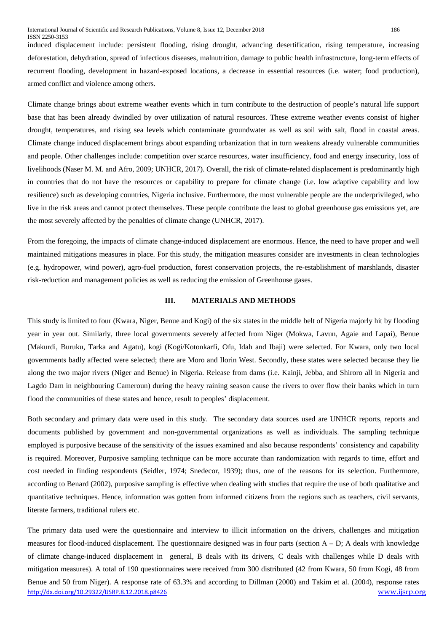induced displacement include: persistent flooding, rising drought, advancing desertification, rising temperature, increasing deforestation, dehydration, spread of infectious diseases, malnutrition, damage to public health infrastructure, long-term effects of recurrent flooding, development in hazard-exposed locations, a decrease in essential resources (i.e. water; food production), armed conflict and violence among others.

Climate change brings about extreme weather events which in turn contribute to the destruction of people's natural life support base that has been already dwindled by over utilization of natural resources. These extreme weather events consist of higher drought, temperatures, and rising sea levels which contaminate groundwater as well as soil with salt, flood in coastal areas. Climate change induced displacement brings about expanding urbanization that in turn weakens already vulnerable communities and people. Other challenges include: competition over scarce resources, water insufficiency, food and energy insecurity, loss of livelihoods (Naser M. M. and Afro, 2009; UNHCR, 2017). Overall, the risk of climate-related displacement is predominantly high in countries that do not have the resources or capability to prepare for climate change (i.e. low adaptive capability and low resilience) such as developing countries, Nigeria inclusive. Furthermore, the most vulnerable people are the underprivileged, who live in the risk areas and cannot protect themselves. These people contribute the least to global greenhouse gas emissions yet, are the most severely affected by the penalties of climate change (UNHCR, 2017).

From the foregoing, the impacts of climate change-induced displacement are enormous. Hence, the need to have proper and well maintained mitigations measures in place. For this study, the mitigation measures consider are investments in clean technologies (e.g. hydropower, wind power), agro-fuel production, forest conservation projects, the re-establishment of marshlands, disaster risk-reduction and management policies as well as reducing the emission of Greenhouse gases.

#### **III. MATERIALS AND METHODS**

This study is limited to four (Kwara, Niger, Benue and Kogi) of the six states in the middle belt of Nigeria majorly hit by flooding year in year out. Similarly, three local governments severely affected from Niger (Mokwa, Lavun, Agaie and Lapai), Benue (Makurdi, Buruku, Tarka and Agatu), kogi (Kogi/Kotonkarfi, Ofu, Idah and Ibaji) were selected. For Kwara, only two local governments badly affected were selected; there are Moro and Ilorin West. Secondly, these states were selected because they lie along the two major rivers (Niger and Benue) in Nigeria. Release from dams (i.e. Kainji, Jebba, and Shiroro all in Nigeria and Lagdo Dam in neighbouring Cameroun) during the heavy raining season cause the rivers to over flow their banks which in turn flood the communities of these states and hence, result to peoples' displacement.

Both secondary and primary data were used in this study. The secondary data sources used are UNHCR reports, reports and documents published by government and non-governmental organizations as well as individuals. The sampling technique employed is purposive because of the sensitivity of the issues examined and also because respondents' consistency and capability is required. Moreover, Purposive sampling technique can be more accurate than randomization with regards to time, effort and cost needed in finding respondents (Seidler, 1974; Snedecor, 1939); thus, one of the reasons for its selection. Furthermore, according to Benard (2002), purposive sampling is effective when dealing with studies that require the use of both qualitative and quantitative techniques. Hence, information was gotten from informed citizens from the regions such as teachers, civil servants, literate farmers, traditional rulers etc.

<http://dx.doi.org/10.29322/IJSRP.8.12.2018.p8426> [www.ijsrp.org](http://ijsrp.org/) The primary data used were the questionnaire and interview to illicit information on the drivers, challenges and mitigation measures for flood-induced displacement. The questionnaire designed was in four parts (section  $A - D$ ; A deals with knowledge of climate change-induced displacement in general, B deals with its drivers, C deals with challenges while D deals with mitigation measures). A total of 190 questionnaires were received from 300 distributed (42 from Kwara, 50 from Kogi, 48 from Benue and 50 from Niger). A response rate of 63.3% and according to Dillman (2000) and Takim et al. (2004), response rates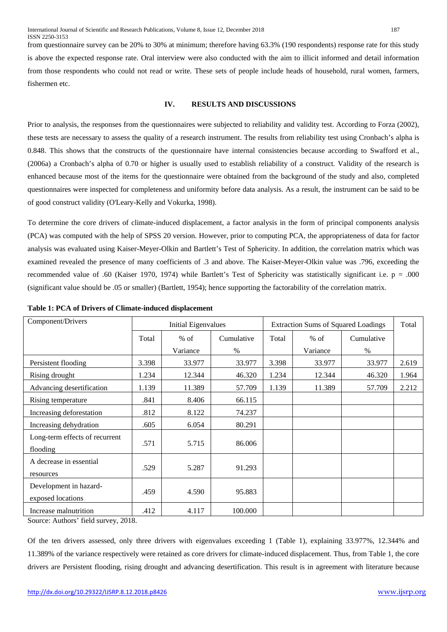from questionnaire survey can be 20% to 30% at minimum; therefore having 63.3% (190 respondents) response rate for this study is above the expected response rate. Oral interview were also conducted with the aim to illicit informed and detail information from those respondents who could not read or write. These sets of people include heads of household, rural women, farmers, fishermen etc.

# **IV. RESULTS AND DISCUSSIONS**

Prior to analysis, the responses from the questionnaires were subjected to reliability and validity test. According to Forza (2002), these tests are necessary to assess the quality of a research instrument. The results from reliability test using Cronbach's alpha is 0.848. This shows that the constructs of the questionnaire have internal consistencies because according to Swafford et al., (2006a) a Cronbach's alpha of 0.70 or higher is usually used to establish reliability of a construct. Validity of the research is enhanced because most of the items for the questionnaire were obtained from the background of the study and also, completed questionnaires were inspected for completeness and uniformity before data analysis. As a result, the instrument can be said to be of good construct validity (O'Leary-Kelly and Vokurka, 1998).

To determine the core drivers of climate-induced displacement, a factor analysis in the form of principal components analysis (PCA) was computed with the help of SPSS 20 version. However, prior to computing PCA, the appropriateness of data for factor analysis was evaluated using Kaiser-Meyer-Olkin and Bartlett's Test of Sphericity. In addition, the correlation matrix which was examined revealed the presence of many coefficients of .3 and above. The Kaiser-Meyer-Olkin value was .796, exceeding the recommended value of .60 (Kaiser 1970, 1974) while Bartlett's Test of Sphericity was statistically significant i.e.  $p = .000$ (significant value should be .05 or smaller) (Bartlett, 1954); hence supporting the factorability of the correlation matrix.

| Component/Drivers              | <b>Initial Eigenvalues</b> |          |            | <b>Extraction Sums of Squared Loadings</b> | Total    |            |       |
|--------------------------------|----------------------------|----------|------------|--------------------------------------------|----------|------------|-------|
|                                | Total                      | $%$ of   | Cumulative | Total                                      | $%$ of   | Cumulative |       |
|                                |                            | Variance | $\%$       |                                            | Variance | $\%$       |       |
| Persistent flooding            | 3.398                      | 33.977   | 33.977     | 3.398                                      | 33.977   | 33.977     | 2.619 |
| Rising drought                 | 1.234                      | 12.344   | 46.320     | 1.234                                      | 12.344   | 46.320     | 1.964 |
| Advancing desertification      | 1.139                      | 11.389   | 57.709     | 1.139                                      | 11.389   | 57.709     | 2.212 |
| Rising temperature             | .841                       | 8.406    | 66.115     |                                            |          |            |       |
| Increasing deforestation       | .812                       | 8.122    | 74.237     |                                            |          |            |       |
| Increasing dehydration         | .605                       | 6.054    | 80.291     |                                            |          |            |       |
| Long-term effects of recurrent | .571                       | 5.715    | 86.006     |                                            |          |            |       |
| flooding                       |                            |          |            |                                            |          |            |       |
| A decrease in essential        | .529                       | 5.287    | 91.293     |                                            |          |            |       |
| resources                      |                            |          |            |                                            |          |            |       |
| Development in hazard-         | .459                       | 4.590    | 95.883     |                                            |          |            |       |
| exposed locations              |                            |          |            |                                            |          |            |       |
| Increase malnutrition          | .412                       | 4.117    | 100.000    |                                            |          |            |       |

| Table 1: PCA of Drivers of Climate-induced displacement |  |  |
|---------------------------------------------------------|--|--|
|---------------------------------------------------------|--|--|

Source: Authors' field survey, 2018.

Of the ten drivers assessed, only three drivers with eigenvalues exceeding 1 (Table 1), explaining 33.977%, 12.344% and 11.389% of the variance respectively were retained as core drivers for climate-induced displacement. Thus, from Table 1, the core drivers are Persistent flooding, rising drought and advancing desertification. This result is in agreement with literature because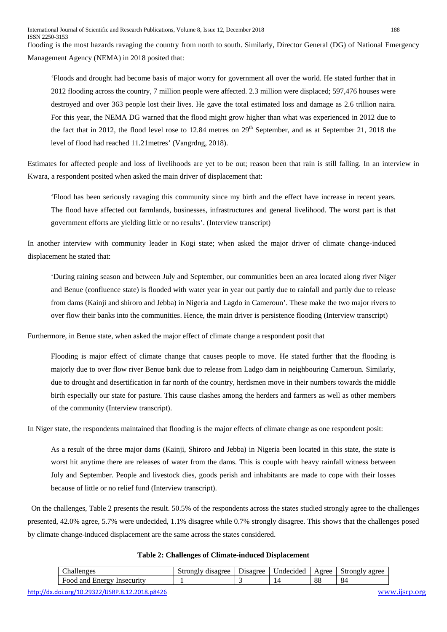flooding is the most hazards ravaging the country from north to south. Similarly, Director General (DG) of National Emergency Management Agency (NEMA) in 2018 posited that:

'Floods and drought had become basis of major worry for government all over the world. He stated further that in 2012 flooding across the country, 7 million people were affected. 2.3 million were displaced; 597,476 houses were destroyed and over 363 people lost their lives. He gave the total estimated loss and damage as 2.6 trillion naira. For this year, the NEMA DG warned that the flood might grow higher than what was experienced in 2012 due to the fact that in 2012, the flood level rose to 12.84 metres on  $29<sup>th</sup>$  September, and as at September 21, 2018 the level of flood had reached 11.21metres' (Vangrdng, 2018).

Estimates for affected people and loss of livelihoods are yet to be out; reason been that rain is still falling. In an interview in Kwara, a respondent posited when asked the main driver of displacement that:

'Flood has been seriously ravaging this community since my birth and the effect have increase in recent years. The flood have affected out farmlands, businesses, infrastructures and general livelihood. The worst part is that government efforts are yielding little or no results'. (Interview transcript)

In another interview with community leader in Kogi state; when asked the major driver of climate change-induced displacement he stated that:

'During raining season and between July and September, our communities been an area located along river Niger and Benue (confluence state) is flooded with water year in year out partly due to rainfall and partly due to release from dams (Kainji and shiroro and Jebba) in Nigeria and Lagdo in Cameroun'. These make the two major rivers to over flow their banks into the communities. Hence, the main driver is persistence flooding (Interview transcript)

Furthermore, in Benue state, when asked the major effect of climate change a respondent posit that

Flooding is major effect of climate change that causes people to move. He stated further that the flooding is majorly due to over flow river Benue bank due to release from Ladgo dam in neighbouring Cameroun. Similarly, due to drought and desertification in far north of the country, herdsmen move in their numbers towards the middle birth especially our state for pasture. This cause clashes among the herders and farmers as well as other members of the community (Interview transcript).

In Niger state, the respondents maintained that flooding is the major effects of climate change as one respondent posit:

As a result of the three major dams (Kainji, Shiroro and Jebba) in Nigeria been located in this state, the state is worst hit anytime there are releases of water from the dams. This is couple with heavy rainfall witness between July and September. People and livestock dies, goods perish and inhabitants are made to cope with their losses because of little or no relief fund (Interview transcript).

On the challenges, Table 2 presents the result. 50.5% of the respondents across the states studied strongly agree to the challenges presented, 42.0% agree, 5.7% were undecided, 1.1% disagree while 0.7% strongly disagree. This shows that the challenges posed by climate change-induced displacement are the same across the states considered.

| $\sim$<br>`h o                                            | $\sim$ $\sim$ $\sim$ $\sim$<br>str<br>∩no | $\sim$<br>hsaoree | . Indecided | $q_{\alpha}$ | $+ 100 - 100$<br>$\alpha$ rroc<br>ມພ |
|-----------------------------------------------------------|-------------------------------------------|-------------------|-------------|--------------|--------------------------------------|
| $\sim$ $\sim$<br>$\alpha$ r $\alpha$<br><b>HOOC</b><br>70 |                                           |                   |             | 88           | Ω<br>∼                               |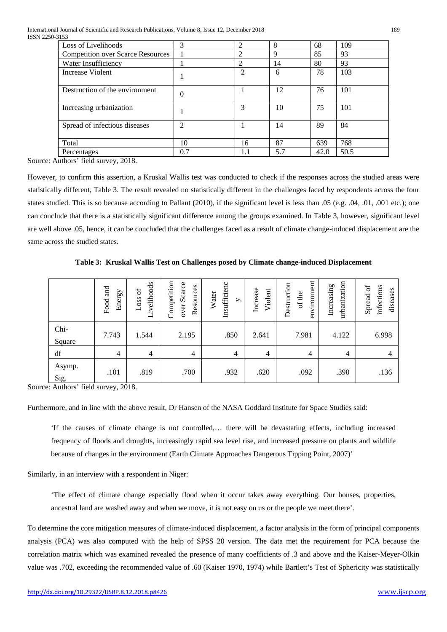| Loss of Livelihoods                      | 3              | $\overline{c}$ | 8   | 68   | 109  |
|------------------------------------------|----------------|----------------|-----|------|------|
| <b>Competition over Scarce Resources</b> |                | 2              | 9   | 85   | 93   |
| Water Insufficiency                      |                | 2              | 14  | 80   | 93   |
| Increase Violent                         |                | $\mathfrak{D}$ | 6   | 78   | 103  |
| Destruction of the environment           | $\theta$       |                | 12  | 76   | 101  |
| Increasing urbanization                  |                | 3              | 10  | 75   | 101  |
| Spread of infectious diseases            | $\mathfrak{D}$ |                | 14  | 89   | 84   |
| Total                                    | 10             | 16             | 87  | 639  | 768  |
| Percentages                              | 0.7            | 1.1            | 5.7 | 42.0 | 50.5 |

Source: Authors' field survey, 2018.

However, to confirm this assertion, a Kruskal Wallis test was conducted to check if the responses across the studied areas were statistically different, Table 3. The result revealed no statistically different in the challenges faced by respondents across the four states studied. This is so because according to Pallant (2010), if the significant level is less than .05 (e.g. .04, .01, .001 etc.); one can conclude that there is a statistically significant difference among the groups examined. In Table 3, however, significant level are well above .05, hence, it can be concluded that the challenges faced as a result of climate change-induced displacement are the same across the studied states.

**Table 3: Kruskal Wallis Test on Challenges posed by Climate change-induced Displacement**

|                        | Food and<br>Energy | ivelihoods<br>ЪÓ<br>Loss<br>⊣ | Competition<br>over Scarce<br>Resources | Insufficienc<br>Water<br>$\rightarrow$ | Increase<br>Violent | environment<br>Destruction<br>of the | urbanization<br>Increasing | Spread of<br>infectious<br>diseases |
|------------------------|--------------------|-------------------------------|-----------------------------------------|----------------------------------------|---------------------|--------------------------------------|----------------------------|-------------------------------------|
| Chi-<br>Square         | 7.743              | 1.544                         | 2.195                                   | .850                                   | 2.641               | 7.981                                | 4.122                      | 6.998                               |
| $\mathrm{d}\mathrm{f}$ | $\overline{4}$     | $\overline{4}$                | 4                                       | $\overline{4}$                         | $\overline{4}$      | $\overline{4}$                       | $\overline{4}$             | 4                                   |
| Asymp.<br>Sig.         | .101               | .819                          | .700                                    | .932                                   | .620                | .092                                 | .390                       | .136                                |

Source: Authors' field survey, 2018.

Furthermore, and in line with the above result, Dr Hansen of the NASA Goddard Institute for Space Studies said:

'If the causes of climate change is not controlled,… there will be devastating effects, including increased frequency of floods and droughts, increasingly rapid sea level rise, and increased pressure on plants and wildlife because of changes in the environment (Earth Climate Approaches Dangerous Tipping Point, 2007)'

Similarly, in an interview with a respondent in Niger:

'The effect of climate change especially flood when it occur takes away everything. Our houses, properties, ancestral land are washed away and when we move, it is not easy on us or the people we meet there'.

To determine the core mitigation measures of climate-induced displacement, a factor analysis in the form of principal components analysis (PCA) was also computed with the help of SPSS 20 version. The data met the requirement for PCA because the correlation matrix which was examined revealed the presence of many coefficients of .3 and above and the Kaiser-Meyer-Olkin value was .702, exceeding the recommended value of .60 (Kaiser 1970, 1974) while Bartlett's Test of Sphericity was statistically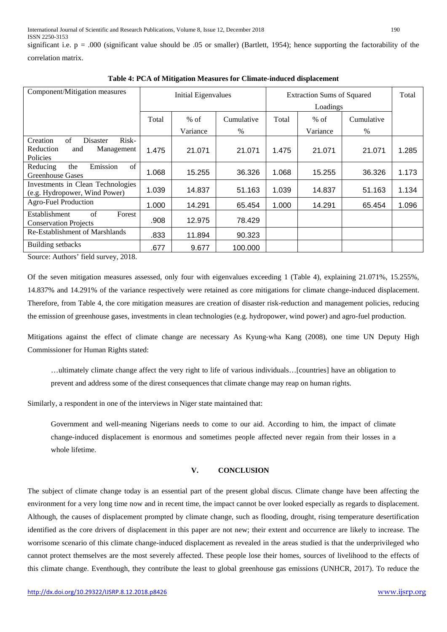significant i.e.  $p = .000$  (significant value should be .05 or smaller) (Bartlett, 1954); hence supporting the factorability of the

| correlation matrix. |
|---------------------|
|---------------------|

| Component/Mitigation measures                                                            | <b>Initial Eigenvalues</b> |          |            | <b>Extraction Sums of Squared</b> | Total    |            |       |
|------------------------------------------------------------------------------------------|----------------------------|----------|------------|-----------------------------------|----------|------------|-------|
|                                                                                          | Total                      | $%$ of   | Cumulative | Total                             | $%$ of   | Cumulative |       |
|                                                                                          |                            | Variance | $\%$       |                                   | Variance | $\%$       |       |
| Risk-<br>Creation<br>of<br><b>Disaster</b><br>Reduction<br>Management<br>and<br>Policies | 1.475                      | 21.071   | 21.071     | 1.475                             | 21.071   | 21.071     | 1.285 |
| Emission<br>$\sigma$ f<br>Reducing<br>the<br><b>Greenhouse Gases</b>                     | 1.068                      | 15.255   | 36.326     | 1.068                             | 15.255   | 36.326     | 1.173 |
| Investments in Clean Technologies<br>(e.g. Hydropower, Wind Power)                       | 1.039                      | 14.837   | 51.163     | 1.039                             | 14.837   | 51.163     | 1.134 |
| <b>Agro-Fuel Production</b>                                                              | 1.000                      | 14.291   | 65.454     | 1.000                             | 14.291   | 65.454     | 1.096 |
| <b>Establishment</b><br>of<br>Forest<br><b>Conservation Projects</b>                     | .908                       | 12.975   | 78.429     |                                   |          |            |       |
| Re-Establishment of Marshlands                                                           | .833                       | 11.894   | 90.323     |                                   |          |            |       |
| Building setbacks                                                                        | .677                       | 9.677    | 100.000    |                                   |          |            |       |

**Table 4: PCA of Mitigation Measures for Climate-induced displacement**

Source: Authors' field survey, 2018.

Of the seven mitigation measures assessed, only four with eigenvalues exceeding 1 (Table 4), explaining 21.071%, 15.255%, 14.837% and 14.291% of the variance respectively were retained as core mitigations for climate change-induced displacement. Therefore, from Table 4, the core mitigation measures are creation of disaster risk-reduction and management policies, reducing the emission of greenhouse gases, investments in clean technologies (e.g. hydropower, wind power) and agro-fuel production.

Mitigations against the effect of climate change are necessary As Kyung-wha Kang (2008), one time UN Deputy High Commissioner for Human Rights stated:

…ultimately climate change affect the very right to life of various individuals…[countries] have an obligation to prevent and address some of the direst consequences that climate change may reap on human rights.

Similarly, a respondent in one of the interviews in Niger state maintained that:

Government and well-meaning Nigerians needs to come to our aid. According to him, the impact of climate change-induced displacement is enormous and sometimes people affected never regain from their losses in a whole lifetime.

# **V. CONCLUSION**

The subject of climate change today is an essential part of the present global discus. Climate change have been affecting the environment for a very long time now and in recent time, the impact cannot be over looked especially as regards to displacement. Although, the causes of displacement prompted by climate change, such as flooding, drought, rising temperature desertification identified as the core drivers of displacement in this paper are not new; their extent and occurrence are likely to increase. The worrisome scenario of this climate change-induced displacement as revealed in the areas studied is that the underprivileged who cannot protect themselves are the most severely affected. These people lose their homes, sources of livelihood to the effects of this climate change. Eventhough, they contribute the least to global greenhouse gas emissions (UNHCR, 2017). To reduce the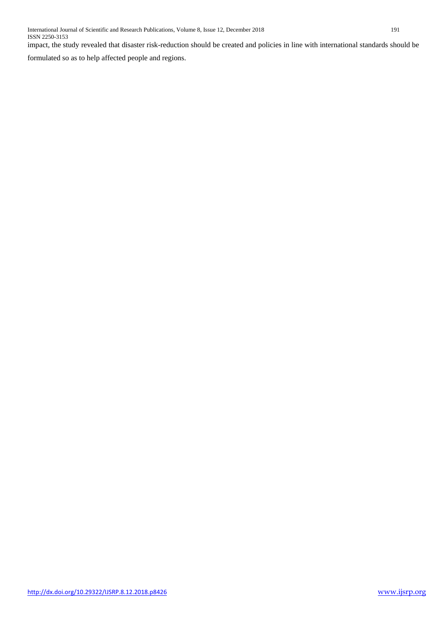impact, the study revealed that disaster risk-reduction should be created and policies in line with international standards should be

formulated so as to help affected people and regions.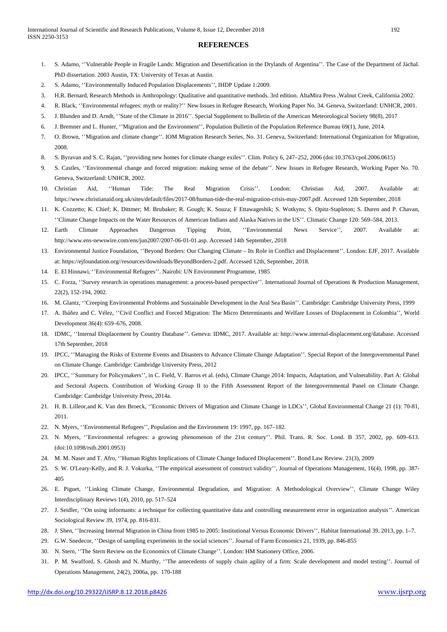### **REFERENCES**

- 1. S. Adamo, ''Vulnerable People in Fragile Lands: Migration and Desertification in the Drylands of Argentina''. The Case of the Department of Jáchal. PhD dissertation. 2003 Austin, TX: University of Texas at Austin.
- 2. S. Adamo, ''Environmentally Induced Population Displacements'', IHDP Update 1:2009.
- 3. H.R. Bernard, Research Methods in Anthropology: Qualitative and quantitative methods. 3rd edition. AltaMira Press ,Walnut Creek, California 2002.
- 4. R. Black, ''Environmental refugees: myth or reality?'' New Issues in Refugee Research, Working Paper No. 34. Geneva, Switzerland: UNHCR, 2001.
- 5. J. Blunden and D. Arndt, ''State of the Climate in 2016''. Special Supplement to Bulletin of the American Meteorological Society 98(8), 2017
- 6. J. Bremner and L. Hunter, ''Migration and the Environment'', Population Bulletin of the Population Reference Bureau 69(1), June, 2014.
- 7. O. Brown, ''Migration and climate change''. IOM Migration Research Series, No. 31. Geneva, Switzerland: International Organization for Migration, 2008.
- 8. S. Byravan and S. C. Rajan, ''providing new homes for climate change exiles''. Clim. Policy 6, 247–252, 2006 (doi:10.3763/cpol.2006.0615)
- 9. S. Castles, ''Environmental change and forced migration: making sense of the debate''. New Issues in Refugee Research, Working Paper No. 70. Geneva, Switzerland: UNHCR, 2002.
- 10. Christian Aid, ''Human Tide: The Real Migration Crisis''. London: Christian Aid, 2007. Available at: https://www.christianaid.org.uk/sites/default/files/2017-08/human-tide-the-real-migration-crisis-may-2007.pdf. Accessed 12th September, 2018
- 11. K. Cozzetto; K. Chief; K. Dittmer; M. Brubaker; R. Gough; K. Souza; F Ettawageshik; S. Wotkyns; S. Opitz-Stapleton; S. Duren and P. Chavan, ''Climate Change Impacts on the Water Resources of American Indians and Alaska Natives in the US''. Climatic Change 120: 569–584, 2013.
- 12. Earth Climate Approaches Dangerous Tipping Point, ''Environmental News Service'', 2007. Available at: http://www.ens‐newswire.com/ens/jun2007/2007‐06‐01‐01.asp. Accessed 14th September, 2018
- 13. Environmental Justice Foundation, ''Beyond Borders: Our Changing Climate Its Role in Conflict and Displacement''. London: EJF, 2017. Available at: https://ejfoundation.org//resources/downloads/BeyondBorders-2.pdf. Accessed 12th, September, 2018.
- 14. E. El Hinnawi, ''Environmental Refugees''. Nairobi: UN Environment Programme, 1985
- 15. C. Forza, ''Survey research in operations management: a process-based perspective''. International Journal of Operations & Production Management, 22(2), 152-194, 2002.
- 16. M. Glantz, ''Creeping Environmental Problems and Sustainable Development in the Aral Sea Basin''. Cambridge: Cambridge University Press, 1999
- 17. A. Ibáñez and C. Vélez, ''Civil Conflict and Forced Migration: The Micro Determinants and Welfare Losses of Displacement in Colombia'', World Development 36(4): 659–676, 2008.
- 18. IDMC, ''Internal Displacement by Country Database''. Geneva: IDMC, 2017. Available at: http://www.internal-displacement.org/database. Accessed 17th September, 2018
- 19. IPCC, ''Managing the Risks of Extreme Events and Disasters to Advance Climate Change Adaptation''. Special Report of the Intergovernmental Panel on Climate Change. Cambridge: Cambridge University Press, 2012
- 20. IPCC, ''Summary for Policymakers'', in C. Field, V. Barros et al. (eds), Climate Change 2014: Impacts, Adaptation, and Vulnerability. Part A: Global and Sectoral Aspects. Contribution of Working Group II to the Fifth Assessment Report of the Intergovernmental Panel on Climate Change. Cambridge: Cambridge University Press, 2014a.
- 21. H. B. Lilleor,and K. Van den Broeck, ''Economic Drivers of Migration and Climate Change in LDCs'', Global Environmental Change 21 (1): 70-81, 2011.
- 22. N. Myers, ''Environmental Refugees'', Population and the Environment 19: 1997, pp. 167–182.
- 23. N. Myers, ''Environmental refugees: a growing phenomenon of the 21st century''. Phil. Trans. R. Soc. Lond. B 357, 2002, pp. 609–613. (doi:10.1098/rstb.2001.0953)
- 24. M. M. Naser and T. Afro, ''Human Rights Implications of Climate Change Induced Displacement''. Bond Law Review. 21(3), 2009
- 25. S. W. O'Leary-Kelly, and R. J. Vokurka, ''The empirical assessment of construct validity'', Journal of Operations Management, 16(4), 1998, pp. 387- 405
- 26. E. Piguet, ''Linking Climate Change, Environmental Degradation, and Migration: A Methodological Overview'', Climate Change Wiley Interdisciplinary Reviews 1(4), 2010, pp. 517–524
- 27. J. Seidler, ''On using informants: a technique for collecting quantitative data and controlling measurement error in organization analysis''. American Sociological Review 39, 1974, pp. 816-831.
- 28. J. Shen, ''Increasing Internal Migration in China from 1985 to 2005: Institutional Versus Economic Drivers'', Habitat International 39, 2013, pp. 1–7.
- 29. G.W. Snedecor, ''Design of sampling experiments in the social sciences''. Journal of Farm Economics 21, 1939, pp. 846-855
- 30. N. Stern, ''The Stern Review on the Economics of Climate Change''. London: HM Stationery Office, 2006.
- 31. P. M. Swafford, S. Ghosh and N. Murthy, ''The antecedents of supply chain agility of a firm: Scale development and model testing''. Journal of Operations Management, 24(2), 2006a, pp. 170-188